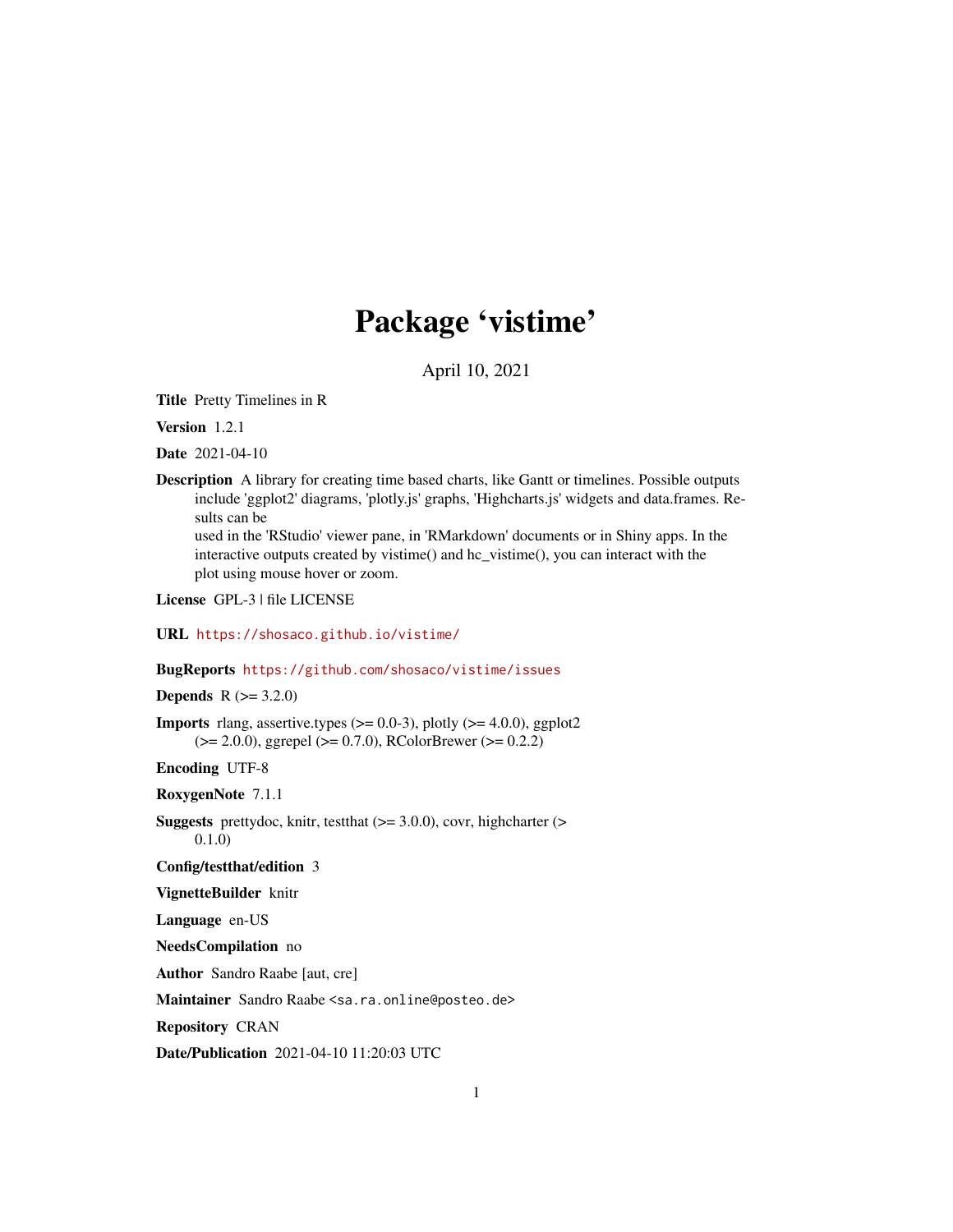# Package 'vistime'

April 10, 2021

Title Pretty Timelines in R

Version 1.2.1

Date 2021-04-10

Description A library for creating time based charts, like Gantt or timelines. Possible outputs include 'ggplot2' diagrams, 'plotly.js' graphs, 'Highcharts.js' widgets and data.frames. Results can be

used in the 'RStudio' viewer pane, in 'RMarkdown' documents or in Shiny apps. In the interactive outputs created by vistime() and hc\_vistime(), you can interact with the plot using mouse hover or zoom.

License GPL-3 | file LICENSE

URL <https://shosaco.github.io/vistime/>

BugReports <https://github.com/shosaco/vistime/issues>

**Depends**  $R (= 3.2.0)$ 

**Imports** rlang, assertive.types  $(>= 0.0-3)$ , plotly  $(>= 4.0.0)$ , ggplot2  $(>= 2.0.0)$ , ggrepel  $(>= 0.7.0)$ , RColorBrewer  $(>= 0.2.2)$ 

Encoding UTF-8

RoxygenNote 7.1.1

**Suggests** prettydoc, knitr, test that  $(>= 3.0.0)$ , covr, highcharter  $(>= 1.00)$ 0.1.0)

Config/testthat/edition 3

VignetteBuilder knitr

Language en-US

NeedsCompilation no

Author Sandro Raabe [aut, cre]

Maintainer Sandro Raabe <sa.ra.online@posteo.de>

Repository CRAN

Date/Publication 2021-04-10 11:20:03 UTC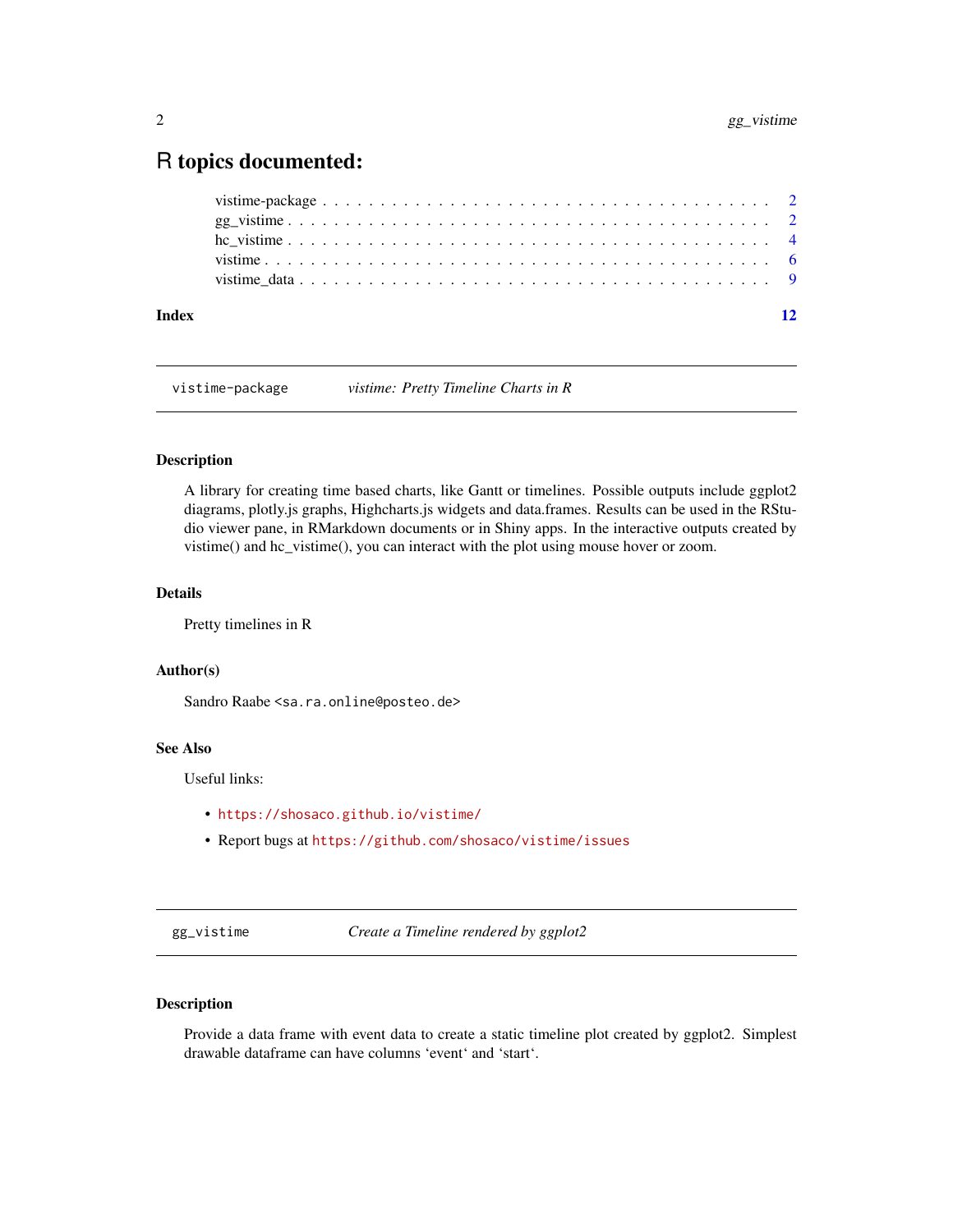# <span id="page-1-0"></span>R topics documented:

| Index |  |
|-------|--|
|       |  |
|       |  |
|       |  |
|       |  |
|       |  |

vistime-package *vistime: Pretty Timeline Charts in R*

#### Description

A library for creating time based charts, like Gantt or timelines. Possible outputs include ggplot2 diagrams, plotly.js graphs, Highcharts.js widgets and data.frames. Results can be used in the RStudio viewer pane, in RMarkdown documents or in Shiny apps. In the interactive outputs created by vistime() and hc\_vistime(), you can interact with the plot using mouse hover or zoom.

## Details

Pretty timelines in R

#### Author(s)

Sandro Raabe <sa.ra.online@posteo.de>

#### See Also

Useful links:

- <https://shosaco.github.io/vistime/>
- Report bugs at <https://github.com/shosaco/vistime/issues>

gg\_vistime *Create a Timeline rendered by ggplot2*

# Description

Provide a data frame with event data to create a static timeline plot created by ggplot2. Simplest drawable dataframe can have columns 'event' and 'start'.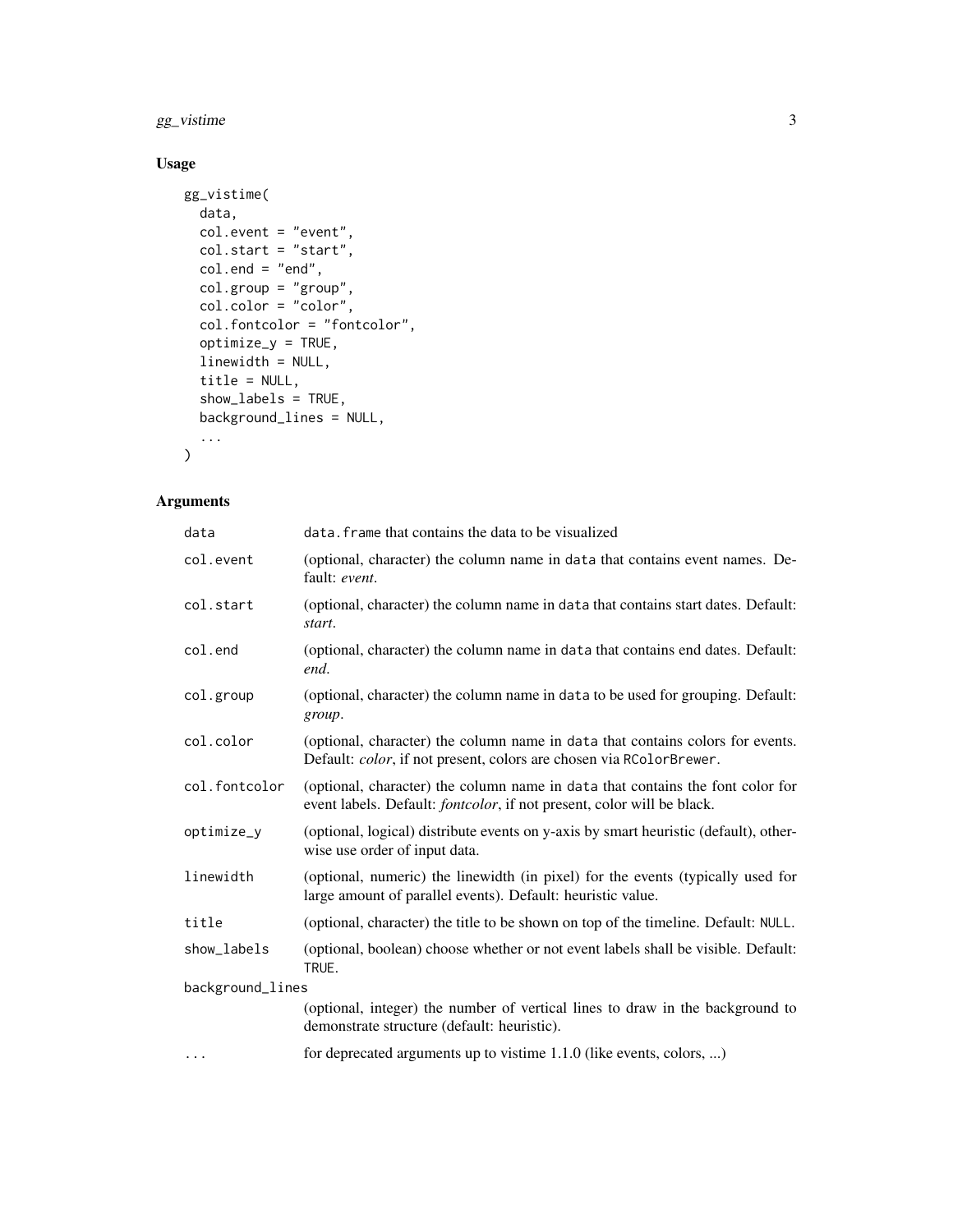gg\_vistime 3

# Usage

```
gg_vistime(
 data,
 col.event = "event",
 col.start = "start",col.end = "end",col.group = "group",
 col.color = "color",
 col.fontcolor = "fontcolor",
 optimize_y = TRUE,
 linewidth = NULL,
 title = NULL,
  show_labels = TRUE,
 background_lines = NULL,
  ...
```
# $\mathcal{L}$

# Arguments

| data             | data. frame that contains the data to be visualized                                                                                                              |  |  |  |
|------------------|------------------------------------------------------------------------------------------------------------------------------------------------------------------|--|--|--|
| col.event        | (optional, character) the column name in data that contains event names. De-<br>fault: event.                                                                    |  |  |  |
| col.start        | (optional, character) the column name in data that contains start dates. Default:<br>start.                                                                      |  |  |  |
| col.end          | (optional, character) the column name in data that contains end dates. Default:<br>end.                                                                          |  |  |  |
| col.group        | (optional, character) the column name in data to be used for grouping. Default:<br>group.                                                                        |  |  |  |
| col.color        | (optional, character) the column name in data that contains colors for events.<br>Default: color, if not present, colors are chosen via RColorBrewer.            |  |  |  |
| col.fontcolor    | (optional, character) the column name in data that contains the font color for<br>event labels. Default: <i>fontcolor</i> , if not present, color will be black. |  |  |  |
| optimize_y       | (optional, logical) distribute events on y-axis by smart heuristic (default), other-<br>wise use order of input data.                                            |  |  |  |
| linewidth        | (optional, numeric) the linewidth (in pixel) for the events (typically used for<br>large amount of parallel events). Default: heuristic value.                   |  |  |  |
| title            | (optional, character) the title to be shown on top of the timeline. Default: NULL.                                                                               |  |  |  |
| show labels      | (optional, boolean) choose whether or not event labels shall be visible. Default:<br>TRUE.                                                                       |  |  |  |
| background_lines |                                                                                                                                                                  |  |  |  |
|                  | (optional, integer) the number of vertical lines to draw in the background to<br>demonstrate structure (default: heuristic).                                     |  |  |  |
| $\cdots$         | for deprecated arguments up to vistime 1.1.0 (like events, colors, )                                                                                             |  |  |  |
|                  |                                                                                                                                                                  |  |  |  |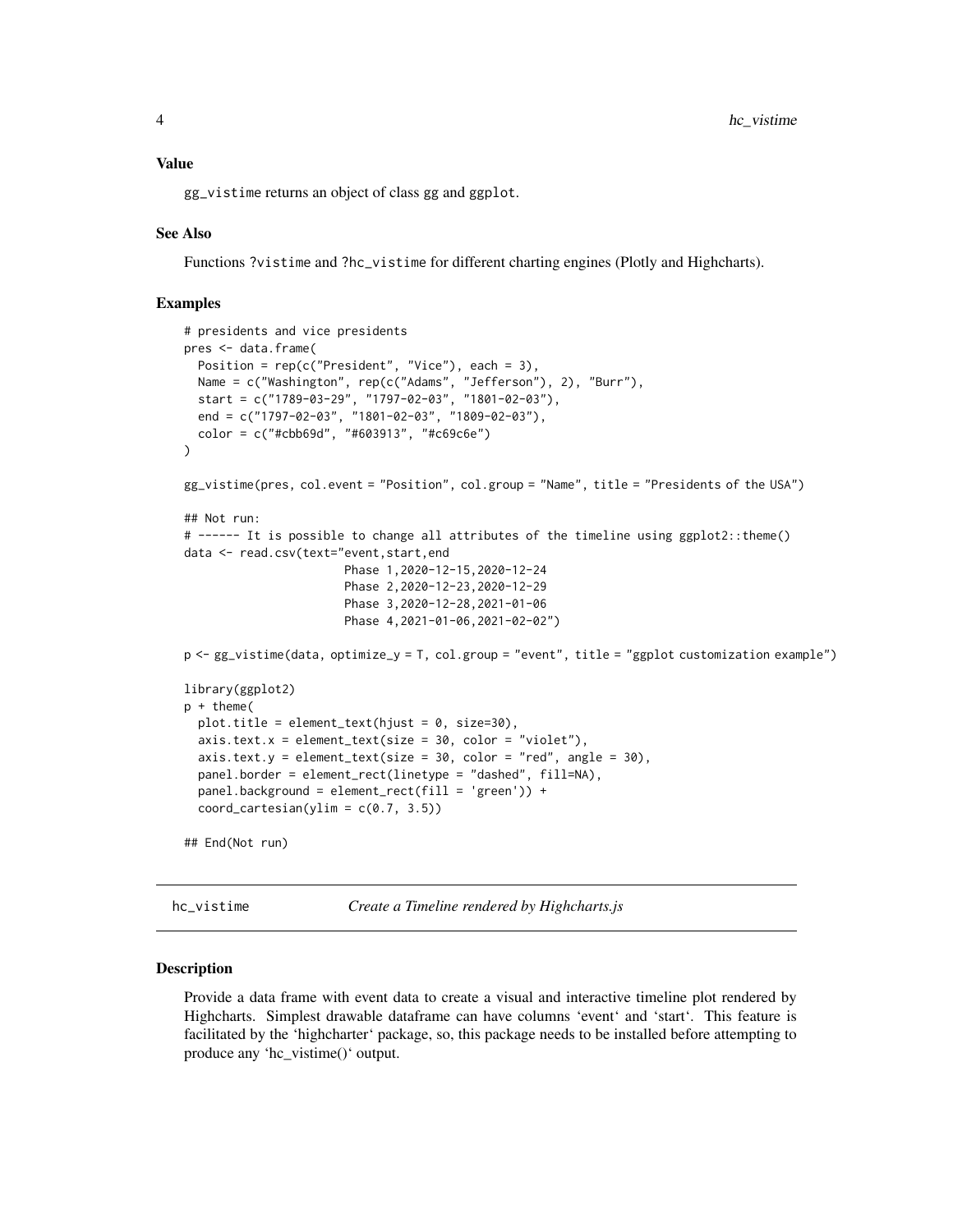## <span id="page-3-0"></span>Value

gg\_vistime returns an object of class gg and ggplot.

#### See Also

Functions ?vistime and ?hc\_vistime for different charting engines (Plotly and Highcharts).

#### Examples

```
# presidents and vice presidents
pres <- data.frame(
 Position = rep(c("President", "Vice"), each = 3),Name = c("Washington", rep(c("Adams", "Jefferson"), 2), "Burr"),
 start = c("1789-03-29", "1797-02-03", "1801-02-03"),
  end = c("1797-02-03", "1801-02-03", "1809-02-03"),
  color = c("#cbb69d", "#603913", "#c69c6e")
\lambdagg_vistime(pres, col.event = "Position", col.group = "Name", title = "Presidents of the USA")
## Not run:
# ------ It is possible to change all attributes of the timeline using ggplot2::theme()
data <- read.csv(text="event,start,end
                       Phase 1,2020-12-15,2020-12-24
                       Phase 2,2020-12-23,2020-12-29
                       Phase 3,2020-12-28,2021-01-06
                       Phase 4,2021-01-06,2021-02-02")
p <- gg_vistime(data, optimize_y = T, col.group = "event", title = "ggplot customization example")
library(ggplot2)
p + theme(
 plot.title = element_text(hjust = 0, size=30),
 axis. text.x = element_test(size = 30, color = "violet"),axis.text.y = element_text(size = 30, color = "red", angle = 30),
 panel.border = element_rect(linetype = "dashed", fill=NA),
 panel.background = element_rect(fill = 'green')) +
 coord\_cartesian(ylim = c(0.7, 3.5))## End(Not run)
```
hc\_vistime *Create a Timeline rendered by Highcharts.js*

#### Description

Provide a data frame with event data to create a visual and interactive timeline plot rendered by Highcharts. Simplest drawable dataframe can have columns 'event' and 'start'. This feature is facilitated by the 'highcharter' package, so, this package needs to be installed before attempting to produce any 'hc\_vistime()' output.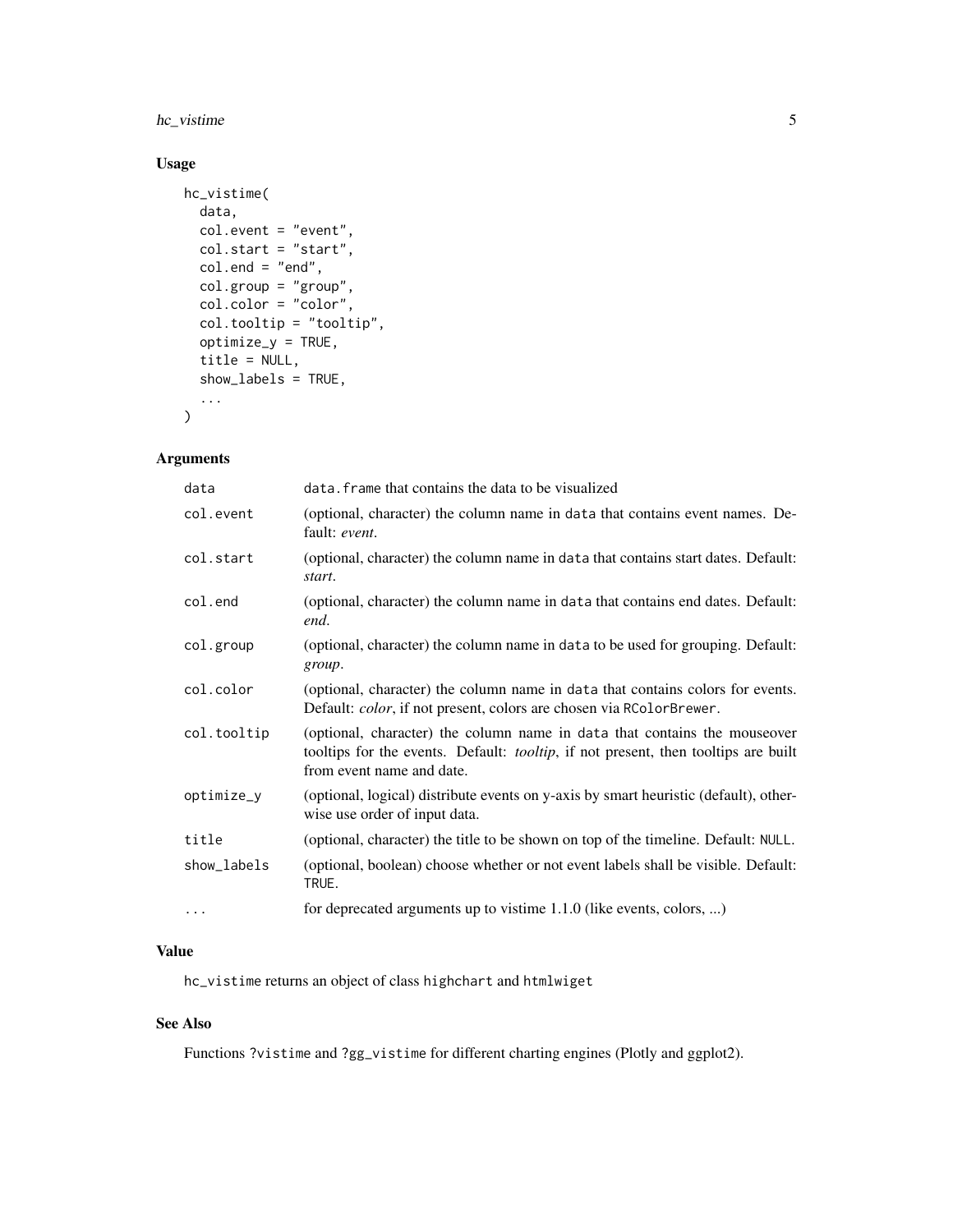# hc\_vistime 5

# Usage

```
hc_vistime(
  data,
  col.event = "event",
  col.start = "start",
  col.end = "end",col.group = "group",
  col.color = "color",
  col.tooltip = "tooltip",
  optimize_y = TRUE,
  title = NULL,
  show_labels = TRUE,
  ...
\mathcal{L}
```
#### Arguments

| data        | data. frame that contains the data to be visualized                                                                                                                                          |
|-------------|----------------------------------------------------------------------------------------------------------------------------------------------------------------------------------------------|
| col.event   | (optional, character) the column name in data that contains event names. De-<br>fault: event.                                                                                                |
| col.start   | (optional, character) the column name in data that contains start dates. Default:<br>start.                                                                                                  |
| col.end     | (optional, character) the column name in data that contains end dates. Default:<br>end.                                                                                                      |
| col.group   | (optional, character) the column name in data to be used for grouping. Default:<br>group.                                                                                                    |
| col.color   | (optional, character) the column name in data that contains colors for events.<br>Default: color, if not present, colors are chosen via RColorBrewer.                                        |
| col.tooltip | (optional, character) the column name in data that contains the mouseover<br>tooltips for the events. Default: tooltip, if not present, then tooltips are built<br>from event name and date. |
| optimize_y  | (optional, logical) distribute events on y-axis by smart heuristic (default), other-<br>wise use order of input data.                                                                        |
| title       | (optional, character) the title to be shown on top of the timeline. Default: NULL.                                                                                                           |
| show_labels | (optional, boolean) choose whether or not event labels shall be visible. Default:<br>TRUE.                                                                                                   |
| $\cdots$    | for deprecated arguments up to vistime 1.1.0 (like events, colors, )                                                                                                                         |

# Value

hc\_vistime returns an object of class highchart and htmlwiget

# See Also

Functions ?vistime and ?gg\_vistime for different charting engines (Plotly and ggplot2).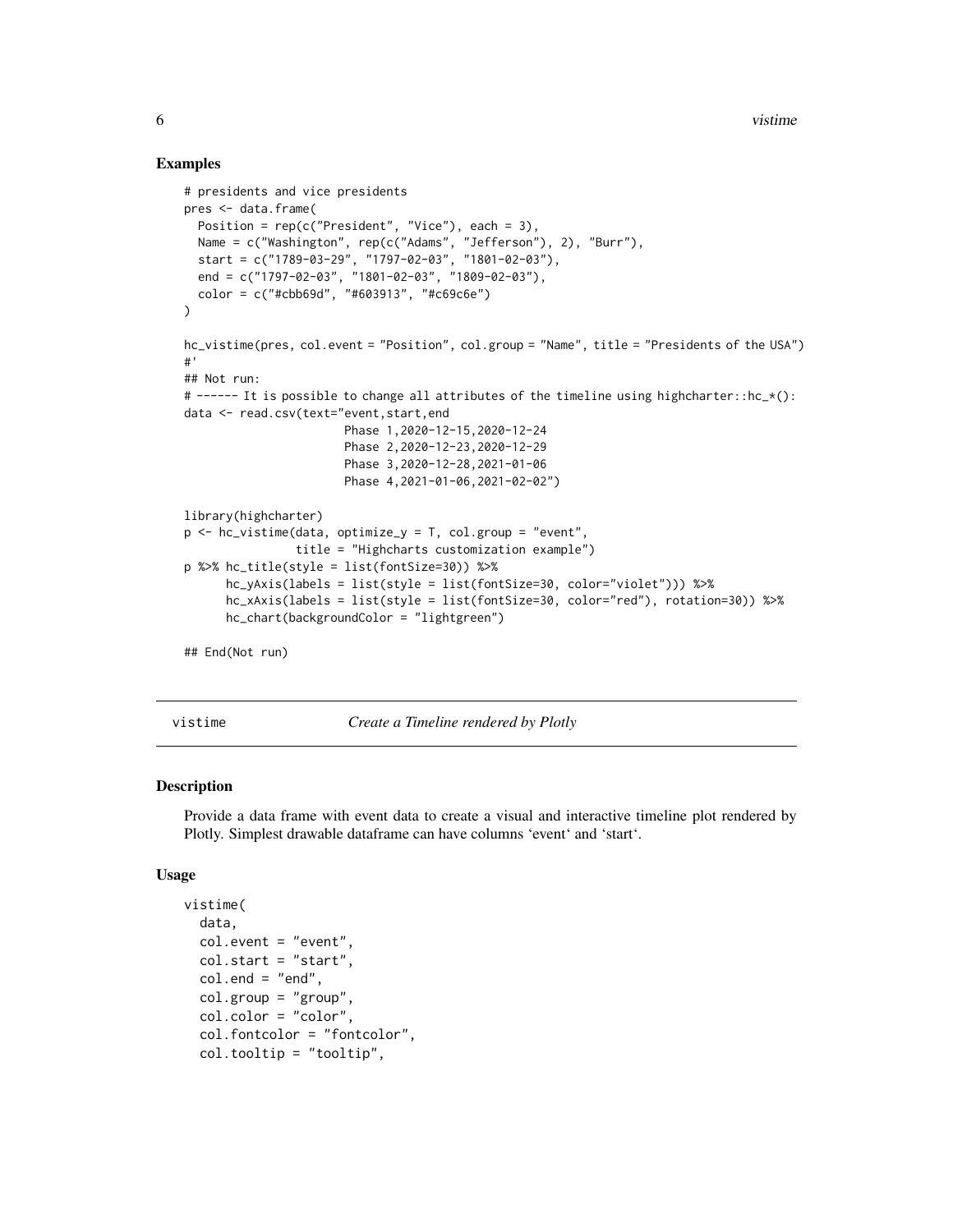#### Examples

```
# presidents and vice presidents
pres <- data.frame(
 Position = rep(c("President", "Vice"), each = 3),Name = c("Washington", rep(c("Adams", "Jefferson"), 2), "Burr"),
 start = c("1789-03-29", "1797-02-03", "1801-02-03"),end = c("1797-02-03", "1801-02-03", "1809-02-03"),
 color = c("#cbb69d", "#603913", "#c69c6e")
)
hc_vistime(pres, col.event = "Position", col.group = "Name", title = "Presidents of the USA")
#'
## Not run:
# ------ It is possible to change all attributes of the timeline using highcharter::hc_*():
data <- read.csv(text="event,start,end
                       Phase 1,2020-12-15,2020-12-24
                       Phase 2,2020-12-23,2020-12-29
                       Phase 3,2020-12-28,2021-01-06
                       Phase 4,2021-01-06,2021-02-02")
library(highcharter)
p \le - hc_vistime(data, optimize_y = T, col.group = "event",
                title = "Highcharts customization example")
p %>% hc_title(style = list(fontSize=30)) %>%
      hc_yAxis(labels = list(style = list(fontSize=30, color="violet"))) %>%
     hc_xAxis(labels = list(style = list(fontSize=30, color="red"), rotation=30)) %>%
     hc_chart(backgroundColor = "lightgreen")
## End(Not run)
```
vistime *Create a Timeline rendered by Plotly*

#### Description

Provide a data frame with event data to create a visual and interactive timeline plot rendered by Plotly. Simplest drawable dataframe can have columns 'event' and 'start'.

#### Usage

```
vistime(
  data,
  col.event = "event",
  col.start = "start",
  col.end = "end",col.group = "group",col.color = "color",
  col.fontcolor = "fontcolor",
  col.tooltip = "tooltip",
```
<span id="page-5-0"></span>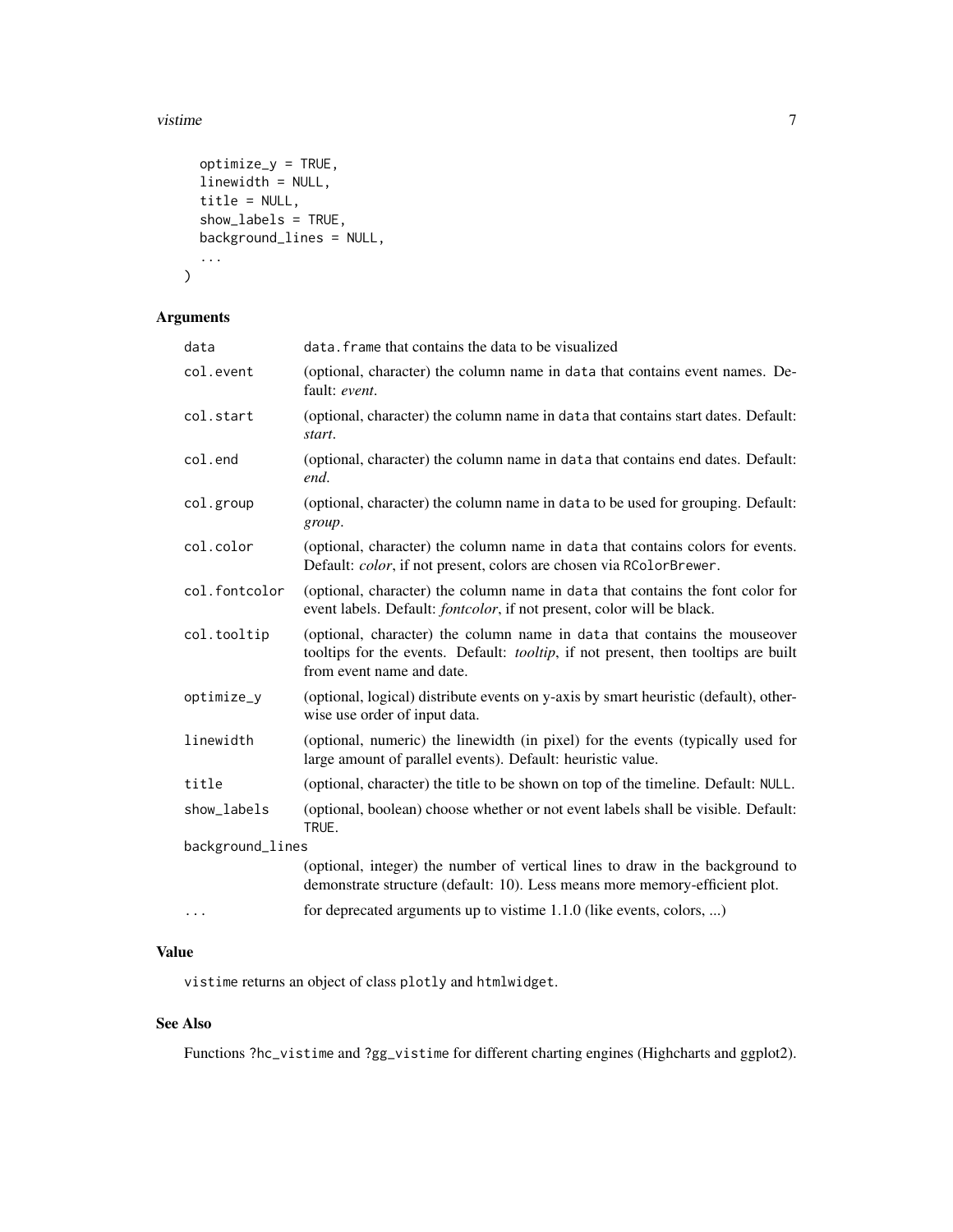#### vistime 7

```
optimize_y = TRUE,
  linewidth = NULL,
  title = NULL,
  show_labels = TRUE,
  background_lines = NULL,
  ...
\mathcal{L}
```
# Arguments

| data             | data. frame that contains the data to be visualized                                                                                                                                                  |
|------------------|------------------------------------------------------------------------------------------------------------------------------------------------------------------------------------------------------|
| col.event        | (optional, character) the column name in data that contains event names. De-<br>fault: event.                                                                                                        |
| col.start        | (optional, character) the column name in data that contains start dates. Default:<br>start.                                                                                                          |
| col.end          | (optional, character) the column name in data that contains end dates. Default:<br>end.                                                                                                              |
| col.group        | (optional, character) the column name in data to be used for grouping. Default:<br>group.                                                                                                            |
| col.color        | (optional, character) the column name in data that contains colors for events.<br>Default: color, if not present, colors are chosen via RColorBrewer.                                                |
| col.fontcolor    | (optional, character) the column name in data that contains the font color for<br>event labels. Default: <i>fontcolor</i> , if not present, color will be black.                                     |
| col.tooltip      | (optional, character) the column name in data that contains the mouseover<br>tooltips for the events. Default: <i>tooltip</i> , if not present, then tooltips are built<br>from event name and date. |
| optimize_y       | (optional, logical) distribute events on y-axis by smart heuristic (default), other-<br>wise use order of input data.                                                                                |
| linewidth        | (optional, numeric) the linewidth (in pixel) for the events (typically used for<br>large amount of parallel events). Default: heuristic value.                                                       |
| title            | (optional, character) the title to be shown on top of the timeline. Default: NULL.                                                                                                                   |
| show_labels      | (optional, boolean) choose whether or not event labels shall be visible. Default:<br>TRUE.                                                                                                           |
| background_lines |                                                                                                                                                                                                      |
|                  | (optional, integer) the number of vertical lines to draw in the background to<br>demonstrate structure (default: 10). Less means more memory-efficient plot.                                         |
| $\cdots$         | for deprecated arguments up to vistime 1.1.0 (like events, colors, )                                                                                                                                 |

## Value

vistime returns an object of class plotly and htmlwidget.

# See Also

Functions ?hc\_vistime and ?gg\_vistime for different charting engines (Highcharts and ggplot2).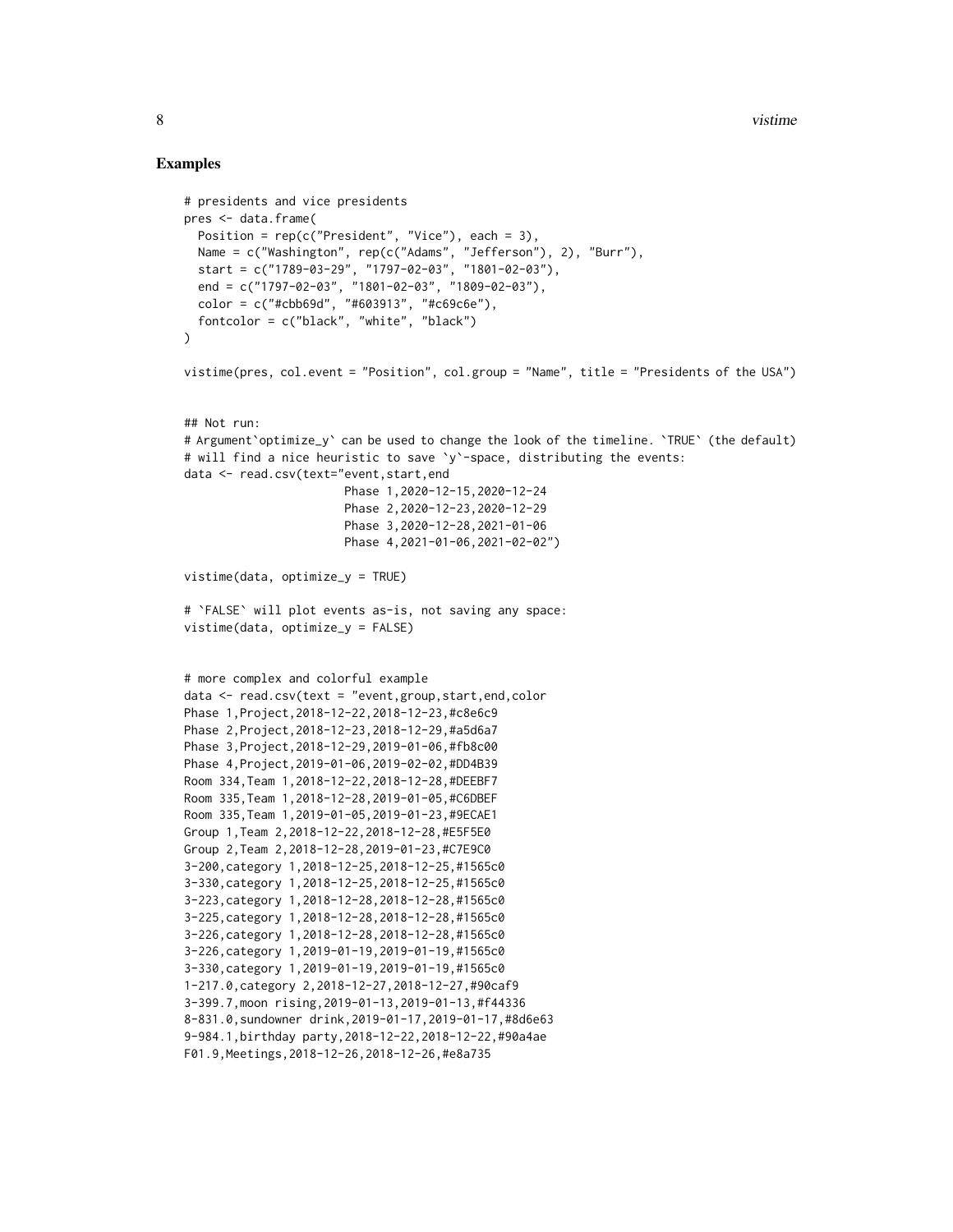8 vistime when the contract of the contract of the contract of the contract of the contract of the contract of the contract of the contract of the contract of the contract of the contract of the contract of the contract of

#### Examples

```
# presidents and vice presidents
pres <- data.frame(
  Position = rep(c("President", "Vice"), each = 3),Name = c("Washington", rep(c("Adams", "Jefferson"), 2), "Burr"),
  start = c("1789-03-29", "1797-02-03", "1801-02-03"),end = c("1797-02-03", "1801-02-03", "1809-02-03"),
  color = c("#cbb69d", "#603913", "#c69c6e"),
  fontcolor = c("black", "white", "black")
\lambdavistime(pres, col.event = "Position", col.group = "Name", title = "Presidents of the USA")
## Not run:
# Argument`optimize_y` can be used to change the look of the timeline. `TRUE` (the default)
# will find a nice heuristic to save `y`-space, distributing the events:
data <- read.csv(text="event,start,end
                       Phase 1,2020-12-15,2020-12-24
                       Phase 2,2020-12-23,2020-12-29
                       Phase 3,2020-12-28,2021-01-06
                       Phase 4,2021-01-06,2021-02-02")
vistime(data, optimize_y = TRUE)
# `FALSE` will plot events as-is, not saving any space:
vistime(data, optimize_y = FALSE)
# more complex and colorful example
data <- read.csv(text = "event,group,start,end,color
Phase 1,Project,2018-12-22,2018-12-23,#c8e6c9
Phase 2,Project,2018-12-23,2018-12-29,#a5d6a7
Phase 3,Project,2018-12-29,2019-01-06,#fb8c00
Phase 4,Project,2019-01-06,2019-02-02,#DD4B39
Room 334,Team 1,2018-12-22,2018-12-28,#DEEBF7
Room 335,Team 1,2018-12-28,2019-01-05,#C6DBEF
Room 335,Team 1,2019-01-05,2019-01-23,#9ECAE1
Group 1,Team 2,2018-12-22,2018-12-28,#E5F5E0
Group 2,Team 2,2018-12-28,2019-01-23,#C7E9C0
3-200,category 1,2018-12-25,2018-12-25,#1565c0
3-330,category 1,2018-12-25,2018-12-25,#1565c0
3-223,category 1,2018-12-28,2018-12-28,#1565c0
3-225,category 1,2018-12-28,2018-12-28,#1565c0
3-226,category 1,2018-12-28,2018-12-28,#1565c0
3-226,category 1,2019-01-19,2019-01-19,#1565c0
3-330,category 1,2019-01-19,2019-01-19,#1565c0
1-217.0,category 2,2018-12-27,2018-12-27,#90caf9
3-399.7,moon rising,2019-01-13,2019-01-13,#f44336
8-831.0,sundowner drink,2019-01-17,2019-01-17,#8d6e63
9-984.1,birthday party,2018-12-22,2018-12-22,#90a4ae
F01.9,Meetings,2018-12-26,2018-12-26,#e8a735
```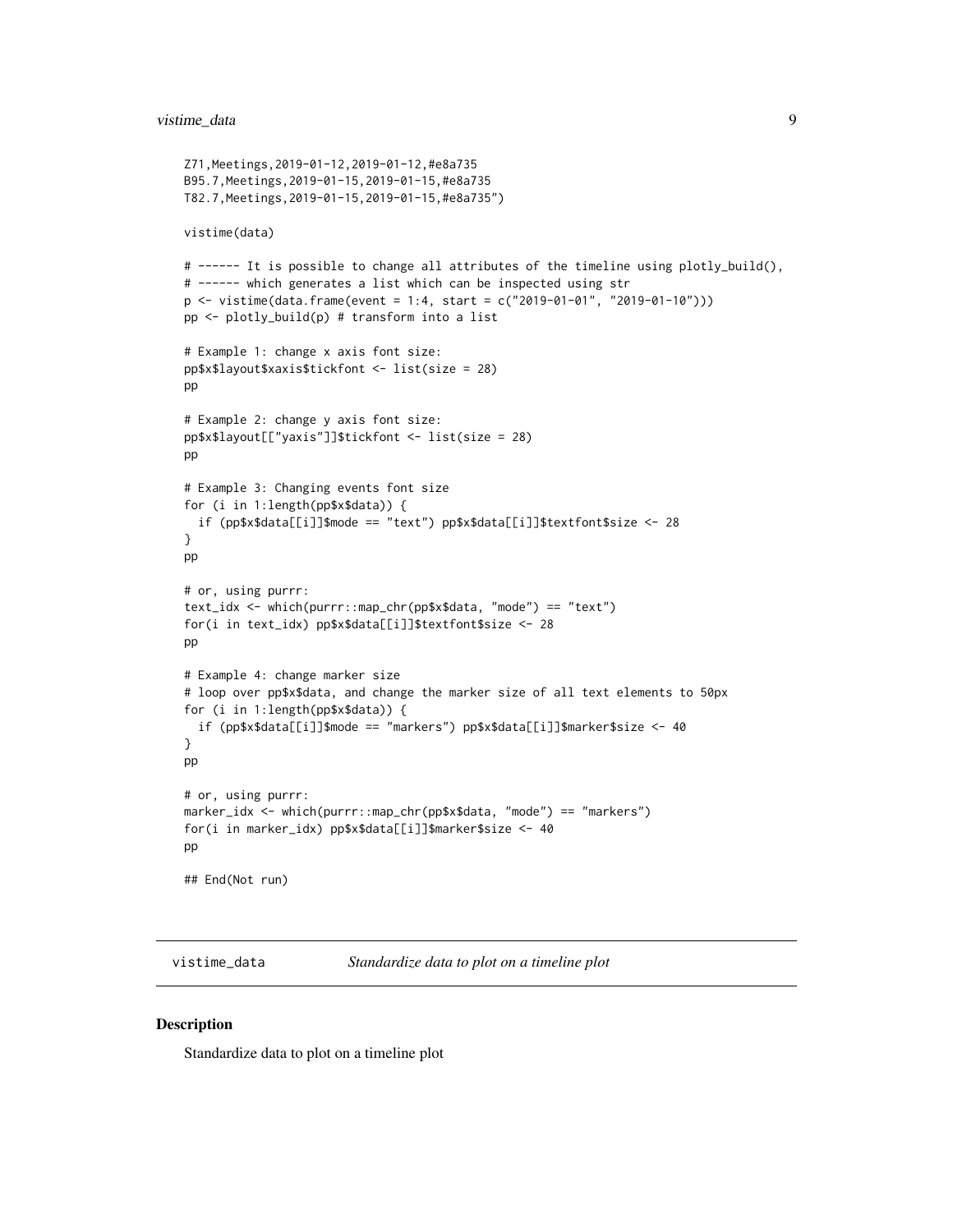#### <span id="page-8-0"></span>vistime\_data 9

```
Z71,Meetings,2019-01-12,2019-01-12,#e8a735
B95.7,Meetings,2019-01-15,2019-01-15,#e8a735
T82.7,Meetings,2019-01-15,2019-01-15,#e8a735")
vistime(data)
# ------ It is possible to change all attributes of the timeline using plotly_build(),
# ------ which generates a list which can be inspected using str
p <- vistime(data.frame(event = 1:4, start = c("2019-01-01", "2019-01-10")))
pp <- plotly_build(p) # transform into a list
# Example 1: change x axis font size:
pp$x$layout$xaxis$tickfont <- list(size = 28)
pp
# Example 2: change y axis font size:
pp$x$layout[["yaxis"]]$tickfont <- list(size = 28)
pp
# Example 3: Changing events font size
for (i in 1:length(pp$x$data)) {
 if (pp$x$data[[i]]$mode == "text") pp$x$data[[i]]$textfont$size <- 28
}
pp
# or, using purrr:
text_idx <- which(purrr::map_chr(pp$x$data, "mode") == "text")
for(i in text_idx) pp$x$data[[i]]$textfont$size <- 28
pp
# Example 4: change marker size
# loop over pp$x$data, and change the marker size of all text elements to 50px
for (i in 1:length(pp$x$data)) {
 if (pp$x$data[[i]]$mode == "markers") pp$x$data[[i]]$marker$size <- 40
}
pp
# or, using purrr:
marker_idx <- which(purrr::map_chr(pp$x$data, "mode") == "markers")
for(i in marker_idx) pp$x$data[[i]]$marker$size <- 40
pp
## End(Not run)
```
vistime\_data *Standardize data to plot on a timeline plot*

## **Description**

Standardize data to plot on a timeline plot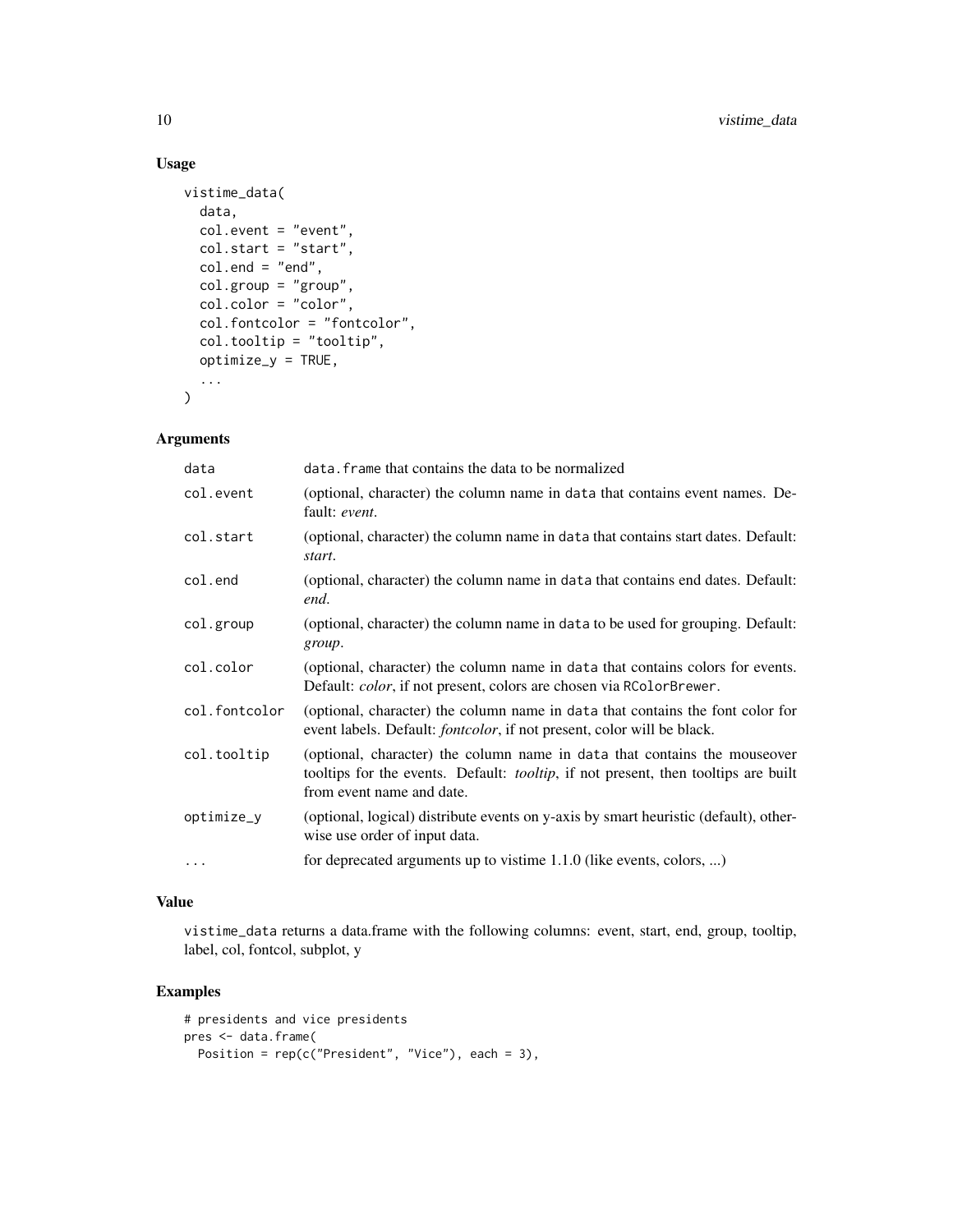# Usage

```
vistime_data(
 data,
  col.event = "event",
 col.start = "start",
 col.end = "end",col.group = "group",
  col.color = "color",
  col.fontcolor = "fontcolor",
  col.tooltip = "tooltip",
 optimize_y = TRUE,
  ...
\mathcal{L}
```
# Arguments

| data          | data. frame that contains the data to be normalized                                                                                                                                                  |
|---------------|------------------------------------------------------------------------------------------------------------------------------------------------------------------------------------------------------|
| col.event     | (optional, character) the column name in data that contains event names. De-<br>fault: event.                                                                                                        |
| col.start     | (optional, character) the column name in data that contains start dates. Default:<br>start.                                                                                                          |
| col.end       | (optional, character) the column name in data that contains end dates. Default:<br>end.                                                                                                              |
| col.group     | (optional, character) the column name in data to be used for grouping. Default:<br>group.                                                                                                            |
| col.color     | (optional, character) the column name in data that contains colors for events.<br>Default: color, if not present, colors are chosen via RColorBrewer.                                                |
| col.fontcolor | (optional, character) the column name in data that contains the font color for<br>event labels. Default: <i>fontcolor</i> , if not present, color will be black.                                     |
| col.tooltip   | (optional, character) the column name in data that contains the mouseover<br>tooltips for the events. Default: <i>tooltip</i> , if not present, then tooltips are built<br>from event name and date. |
| optimize_y    | (optional, logical) distribute events on y-axis by smart heuristic (default), other-<br>wise use order of input data.                                                                                |
| $\ddotsc$     | for deprecated arguments up to vistime 1.1.0 (like events, colors, )                                                                                                                                 |

# Value

vistime\_data returns a data.frame with the following columns: event, start, end, group, tooltip, label, col, fontcol, subplot, y

# Examples

```
# presidents and vice presidents
pres <- data.frame(
 Position = rep(c("President", "Vice"), each = 3),
```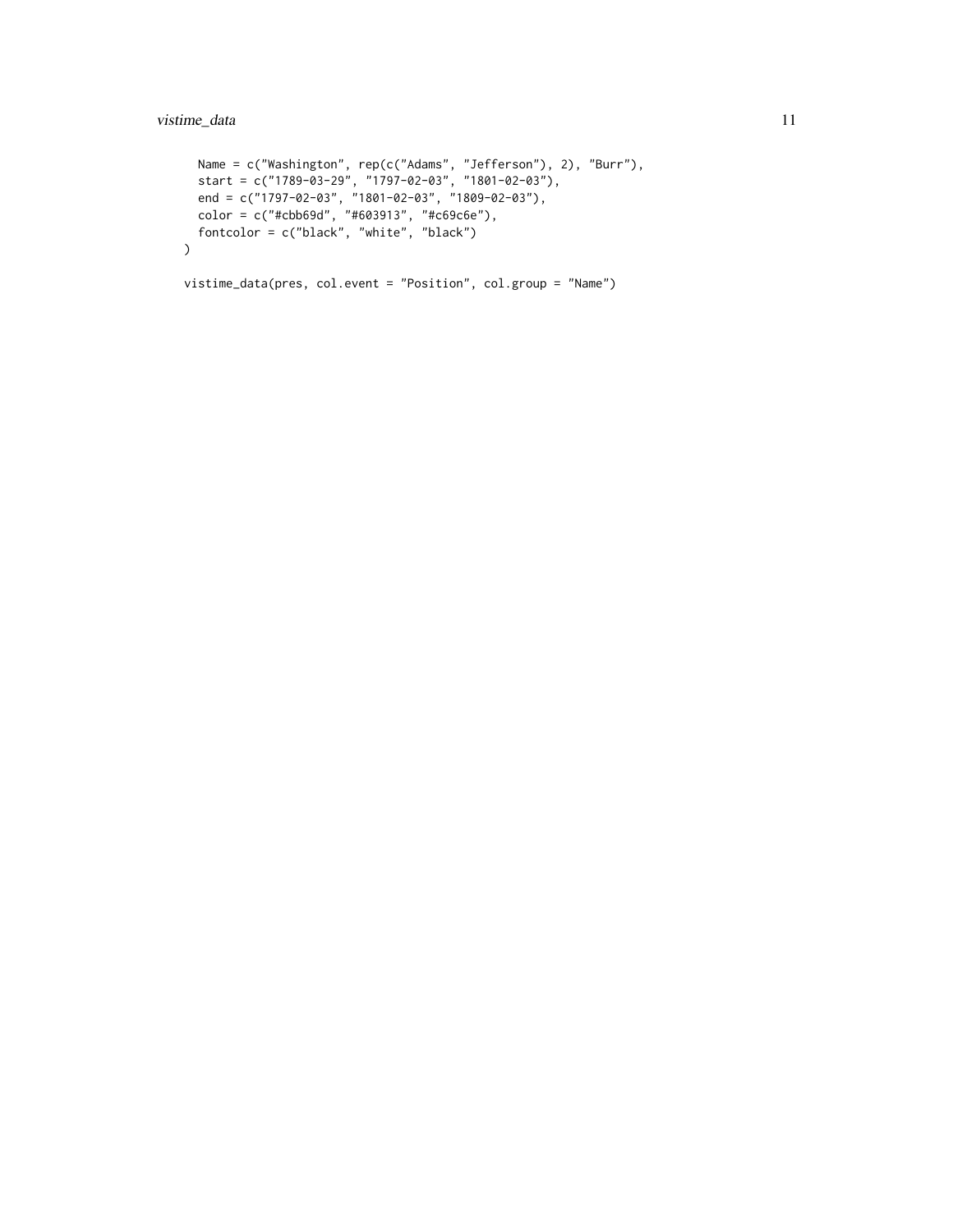```
Name = c("Washington", rep(c("Adams", "Jefferson"), 2), "Burr"),
  start = c("1789-03-29", "1797-02-03", "1801-02-03"),
  end = c("1797-02-03", "1801-02-03", "1809-02-03"),
  color = c("#cbb69d", "#603913", "#c69c6e"),
  fontcolor = c("black", "white", "black")
\mathcal{L}vistime_data(pres, col.event = "Position", col.group = "Name")
```